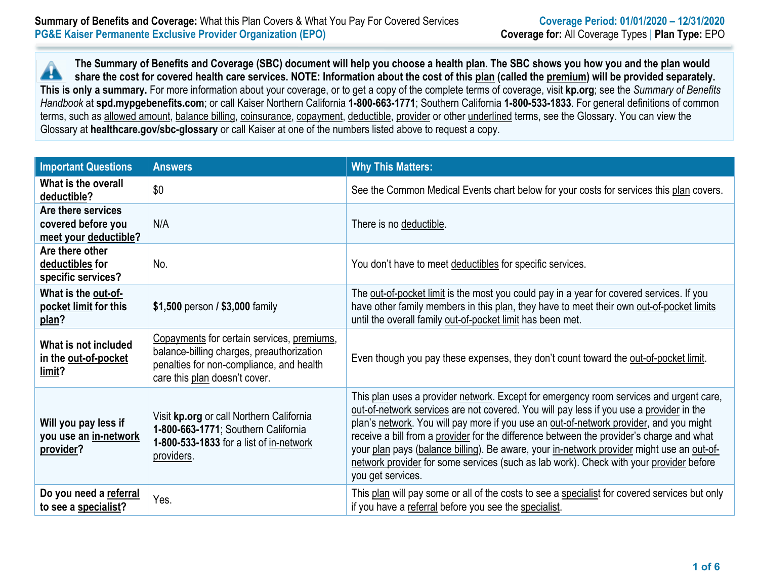**The Summary of Benefits and Coverage (SBC) document will help you choose a health plan. The SBC shows you how you and the plan would** ▲ **share the cost for covered health care services. NOTE: Information about the cost of this plan (called the premium) will be provided separately. This is only a summary.** For more information about your coverage, or to get a copy of the complete terms of coverage, visit **kp.org**; see the *Summary of Benefits Handbook* at **spd.mypgebenefits.com**; or call Kaiser Northern California **1-800-663-1771**; Southern California **1-800-533-1833**. For general definitions of common terms, such as allowed amount, balance billing, coinsurance, copayment, deductible, provider or other underlined terms, see the Glossary. You can view the Glossary at **healthcare.gov/sbc-glossary** or call Kaiser at one of the numbers listed above to request a copy.

| <b>Important Questions</b>                                        | <b>Answers</b>                                                                                                                                                       | <b>Why This Matters:</b>                                                                                                                                                                                                                                                                                                                                                                                                                                                                                                                                                            |
|-------------------------------------------------------------------|----------------------------------------------------------------------------------------------------------------------------------------------------------------------|-------------------------------------------------------------------------------------------------------------------------------------------------------------------------------------------------------------------------------------------------------------------------------------------------------------------------------------------------------------------------------------------------------------------------------------------------------------------------------------------------------------------------------------------------------------------------------------|
| What is the overall<br>deductible?                                | \$0                                                                                                                                                                  | See the Common Medical Events chart below for your costs for services this plan covers.                                                                                                                                                                                                                                                                                                                                                                                                                                                                                             |
| Are there services<br>covered before you<br>meet your deductible? | N/A                                                                                                                                                                  | There is no deductible.                                                                                                                                                                                                                                                                                                                                                                                                                                                                                                                                                             |
| Are there other<br>deductibles for<br>specific services?          | No.                                                                                                                                                                  | You don't have to meet deductibles for specific services.                                                                                                                                                                                                                                                                                                                                                                                                                                                                                                                           |
| What is the out-of-<br>pocket limit for this<br>plan?             | \$1,500 person / \$3,000 family                                                                                                                                      | The out-of-pocket limit is the most you could pay in a year for covered services. If you<br>have other family members in this plan, they have to meet their own out-of-pocket limits<br>until the overall family out-of-pocket limit has been met.                                                                                                                                                                                                                                                                                                                                  |
| What is not included<br>in the out-of-pocket<br>limit?            | Copayments for certain services, premiums,<br>balance-billing charges, preauthorization<br>penalties for non-compliance, and health<br>care this plan doesn't cover. | Even though you pay these expenses, they don't count toward the out-of-pocket limit.                                                                                                                                                                                                                                                                                                                                                                                                                                                                                                |
| Will you pay less if<br>you use an in-network<br>provider?        | Visit kp.org or call Northern California<br>1-800-663-1771; Southern California<br>1-800-533-1833 for a list of in-network<br>providers.                             | This plan uses a provider network. Except for emergency room services and urgent care,<br>out-of-network services are not covered. You will pay less if you use a provider in the<br>plan's network. You will pay more if you use an out-of-network provider, and you might<br>receive a bill from a provider for the difference between the provider's charge and what<br>your plan pays (balance billing). Be aware, your in-network provider might use an out-of-<br>network provider for some services (such as lab work). Check with your provider before<br>you get services. |
| Do you need a referral<br>to see a specialist?                    | Yes.                                                                                                                                                                 | This plan will pay some or all of the costs to see a specialist for covered services but only<br>if you have a referral before you see the specialist.                                                                                                                                                                                                                                                                                                                                                                                                                              |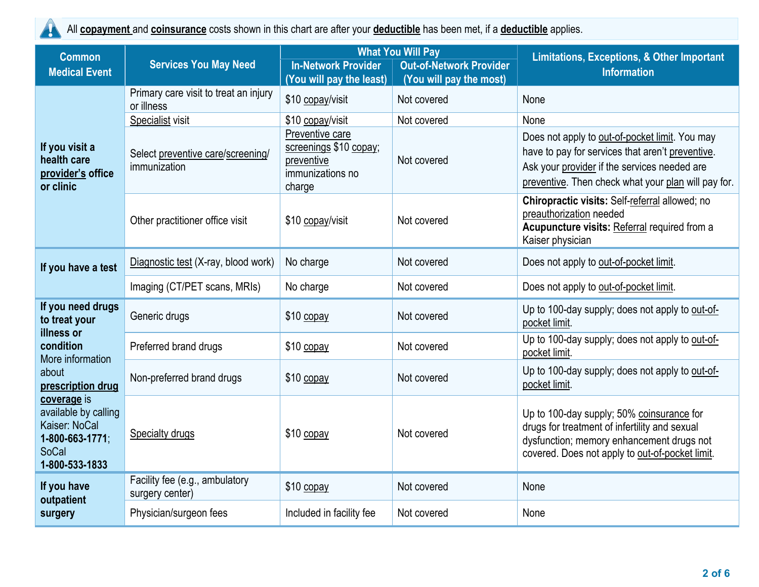$\blacktriangle$ 

All **copayment** and **coinsurance** costs shown in this chart are after your **deductible** has been met, if a **deductible** applies.

| <b>Common</b>                                                                                      |                                                     |                                                                                       | <b>What You Will Pay</b>                                  | <b>Limitations, Exceptions, &amp; Other Important</b>                                                                                                                                                     |  |
|----------------------------------------------------------------------------------------------------|-----------------------------------------------------|---------------------------------------------------------------------------------------|-----------------------------------------------------------|-----------------------------------------------------------------------------------------------------------------------------------------------------------------------------------------------------------|--|
| <b>Medical Event</b>                                                                               | <b>Services You May Need</b>                        | <b>In-Network Provider</b><br>(You will pay the least)                                | <b>Out-of-Network Provider</b><br>(You will pay the most) | <b>Information</b>                                                                                                                                                                                        |  |
| If you visit a<br>health care<br>provider's office<br>or clinic                                    | Primary care visit to treat an injury<br>or illness | \$10 copay/visit                                                                      | Not covered                                               | None                                                                                                                                                                                                      |  |
|                                                                                                    | Specialist visit                                    | \$10 copay/visit                                                                      | Not covered                                               | None                                                                                                                                                                                                      |  |
|                                                                                                    | Select preventive care/screening/<br>immunization   | Preventive care<br>screenings \$10 copay;<br>preventive<br>immunizations no<br>charge | Not covered                                               | Does not apply to out-of-pocket limit. You may<br>have to pay for services that aren't preventive.<br>Ask your provider if the services needed are<br>preventive. Then check what your plan will pay for. |  |
|                                                                                                    | Other practitioner office visit                     | \$10 copay/visit                                                                      | Not covered                                               | Chiropractic visits: Self-referral allowed; no<br>preauthorization needed<br>Acupuncture visits: Referral required from a<br>Kaiser physician                                                             |  |
| If you have a test                                                                                 | Diagnostic test (X-ray, blood work)                 | No charge                                                                             | Not covered                                               | Does not apply to out-of-pocket limit.                                                                                                                                                                    |  |
|                                                                                                    | Imaging (CT/PET scans, MRIs)                        | No charge                                                                             | Not covered                                               | Does not apply to out-of-pocket limit.                                                                                                                                                                    |  |
| If you need drugs<br>to treat your                                                                 | Generic drugs                                       | \$10 copay                                                                            | Not covered                                               | Up to 100-day supply; does not apply to out-of-<br>pocket limit.                                                                                                                                          |  |
| illness or<br>condition<br>More information                                                        | Preferred brand drugs                               | \$10 copay                                                                            | Not covered                                               | Up to 100-day supply; does not apply to out-of-<br>pocket limit.                                                                                                                                          |  |
| about<br>prescription drug                                                                         | Non-preferred brand drugs                           | \$10 copay                                                                            | Not covered                                               | Up to 100-day supply; does not apply to out-of-<br>pocket limit.                                                                                                                                          |  |
| coverage is<br>available by calling<br>Kaiser: NoCal<br>1-800-663-1771;<br>SoCal<br>1-800-533-1833 | <b>Specialty drugs</b>                              | $$10$ copay                                                                           | Not covered                                               | Up to 100-day supply; 50% coinsurance for<br>drugs for treatment of infertility and sexual<br>dysfunction; memory enhancement drugs not<br>covered. Does not apply to out-of-pocket limit.                |  |
| If you have<br>outpatient                                                                          | Facility fee (e.g., ambulatory<br>surgery center)   | \$10 copay                                                                            | Not covered                                               | None                                                                                                                                                                                                      |  |
| surgery                                                                                            | Physician/surgeon fees                              | Included in facility fee                                                              | Not covered                                               | None                                                                                                                                                                                                      |  |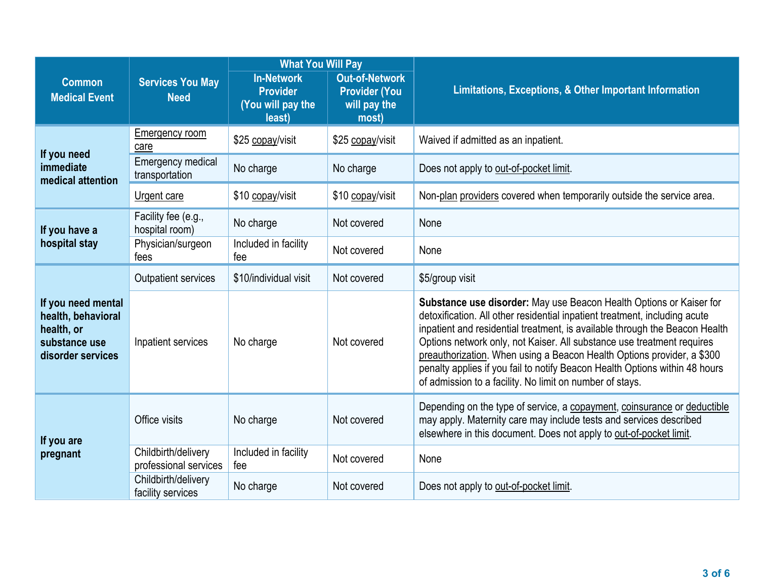|                                                                                              |                                              | <b>What You Will Pay</b>                                            |                                                                        |                                                                                                                                                                                                                                                                                                                                                                                                                                                                                                                                 |  |
|----------------------------------------------------------------------------------------------|----------------------------------------------|---------------------------------------------------------------------|------------------------------------------------------------------------|---------------------------------------------------------------------------------------------------------------------------------------------------------------------------------------------------------------------------------------------------------------------------------------------------------------------------------------------------------------------------------------------------------------------------------------------------------------------------------------------------------------------------------|--|
| <b>Common</b><br><b>Medical Event</b>                                                        | <b>Services You May</b><br><b>Need</b>       | <b>In-Network</b><br><b>Provider</b><br>(You will pay the<br>least) | <b>Out-of-Network</b><br><b>Provider (You</b><br>will pay the<br>most) | Limitations, Exceptions, & Other Important Information                                                                                                                                                                                                                                                                                                                                                                                                                                                                          |  |
| If you need<br>immediate<br>medical attention                                                | Emergency room<br>care                       | \$25 copay/visit                                                    | \$25 copay/visit                                                       | Waived if admitted as an inpatient.                                                                                                                                                                                                                                                                                                                                                                                                                                                                                             |  |
|                                                                                              | <b>Emergency medical</b><br>transportation   | No charge                                                           | No charge                                                              | Does not apply to out-of-pocket limit.                                                                                                                                                                                                                                                                                                                                                                                                                                                                                          |  |
|                                                                                              | Urgent care                                  | \$10 copay/visit                                                    | \$10 copay/visit                                                       | Non-plan providers covered when temporarily outside the service area.                                                                                                                                                                                                                                                                                                                                                                                                                                                           |  |
| If you have a<br>hospital stay                                                               | Facility fee (e.g.,<br>hospital room)        | No charge                                                           | Not covered                                                            | None                                                                                                                                                                                                                                                                                                                                                                                                                                                                                                                            |  |
|                                                                                              | Physician/surgeon<br>fees                    | Included in facility<br>fee                                         | Not covered                                                            | None                                                                                                                                                                                                                                                                                                                                                                                                                                                                                                                            |  |
| If you need mental<br>health, behavioral<br>health, or<br>substance use<br>disorder services | Outpatient services                          | \$10/individual visit                                               | Not covered                                                            | \$5/group visit                                                                                                                                                                                                                                                                                                                                                                                                                                                                                                                 |  |
|                                                                                              | Inpatient services                           | No charge                                                           | Not covered                                                            | Substance use disorder: May use Beacon Health Options or Kaiser for<br>detoxification. All other residential inpatient treatment, including acute<br>inpatient and residential treatment, is available through the Beacon Health<br>Options network only, not Kaiser. All substance use treatment requires<br>preauthorization. When using a Beacon Health Options provider, a \$300<br>penalty applies if you fail to notify Beacon Health Options within 48 hours<br>of admission to a facility. No limit on number of stays. |  |
| If you are<br>pregnant                                                                       | Office visits                                | No charge                                                           | Not covered                                                            | Depending on the type of service, a copayment, coinsurance or deductible<br>may apply. Maternity care may include tests and services described<br>elsewhere in this document. Does not apply to out-of-pocket limit.                                                                                                                                                                                                                                                                                                            |  |
|                                                                                              | Childbirth/delivery<br>professional services | Included in facility<br>fee                                         | Not covered                                                            | None                                                                                                                                                                                                                                                                                                                                                                                                                                                                                                                            |  |
|                                                                                              | Childbirth/delivery<br>facility services     | No charge                                                           | Not covered                                                            | Does not apply to out-of-pocket limit.                                                                                                                                                                                                                                                                                                                                                                                                                                                                                          |  |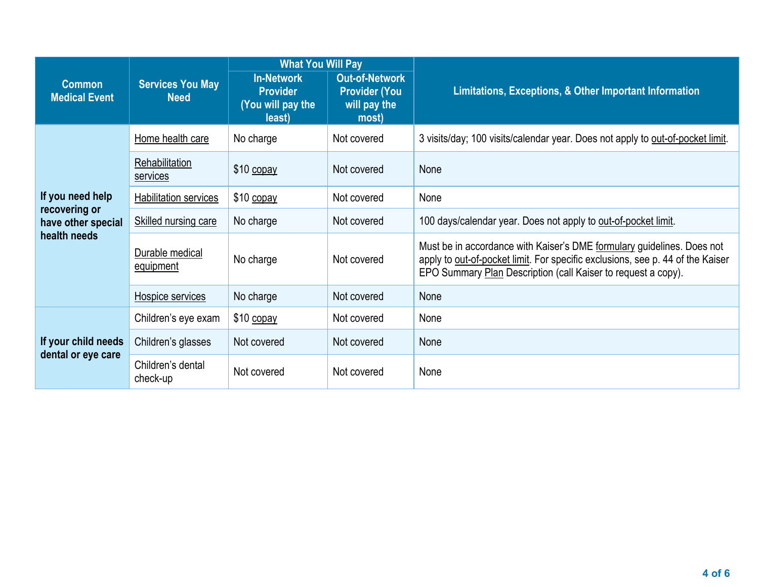|                                                                         |                                        | <b>What You Will Pay</b>                                            |                                                                        |                                                                                                                                                                                                                           |  |
|-------------------------------------------------------------------------|----------------------------------------|---------------------------------------------------------------------|------------------------------------------------------------------------|---------------------------------------------------------------------------------------------------------------------------------------------------------------------------------------------------------------------------|--|
| <b>Common</b><br><b>Medical Event</b>                                   | <b>Services You May</b><br><b>Need</b> | <b>In-Network</b><br><b>Provider</b><br>(You will pay the<br>least) | <b>Out-of-Network</b><br><b>Provider (You</b><br>will pay the<br>most) | Limitations, Exceptions, & Other Important Information                                                                                                                                                                    |  |
| If you need help<br>recovering or<br>have other special<br>health needs | Home health care                       | No charge                                                           | Not covered                                                            | 3 visits/day; 100 visits/calendar year. Does not apply to out-of-pocket limit.                                                                                                                                            |  |
|                                                                         | Rehabilitation<br>services             | $$10$ copay                                                         | Not covered                                                            | None                                                                                                                                                                                                                      |  |
|                                                                         | Habilitation services                  | \$10 copay                                                          | Not covered                                                            | None                                                                                                                                                                                                                      |  |
|                                                                         | <b>Skilled nursing care</b>            | No charge                                                           | Not covered                                                            | 100 days/calendar year. Does not apply to out-of-pocket limit.                                                                                                                                                            |  |
|                                                                         | Durable medical<br>equipment           | No charge                                                           | Not covered                                                            | Must be in accordance with Kaiser's DME formulary guidelines. Does not<br>apply to out-of-pocket limit. For specific exclusions, see p. 44 of the Kaiser<br>EPO Summary Plan Description (call Kaiser to request a copy). |  |
|                                                                         | Hospice services                       | No charge                                                           | Not covered                                                            | None                                                                                                                                                                                                                      |  |
| If your child needs<br>dental or eye care                               | Children's eye exam                    | \$10 copay                                                          | Not covered                                                            | None                                                                                                                                                                                                                      |  |
|                                                                         | Children's glasses                     | Not covered                                                         | Not covered                                                            | None                                                                                                                                                                                                                      |  |
|                                                                         | Children's dental<br>check-up          | Not covered                                                         | Not covered                                                            | None                                                                                                                                                                                                                      |  |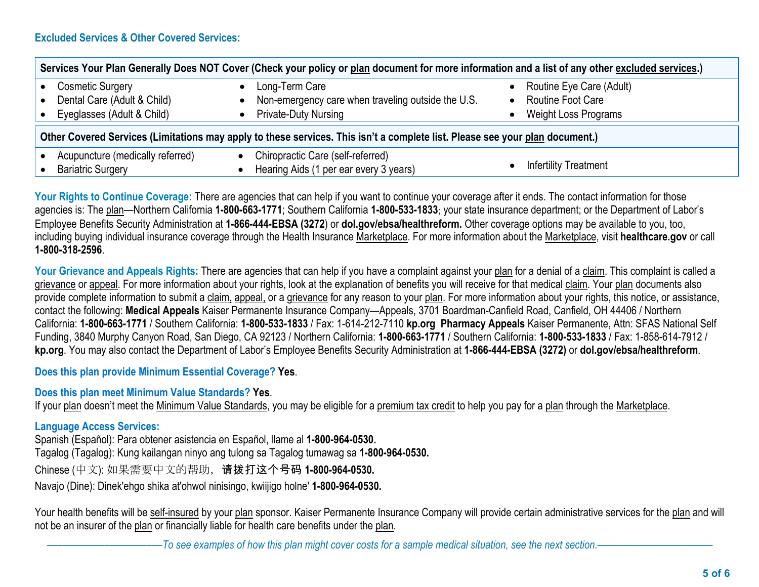| Services Your Plan Generally Does NOT Cover (Check your policy or plan document for more information and a list of any other excluded services.) |                                                    |                              |  |  |  |  |
|--------------------------------------------------------------------------------------------------------------------------------------------------|----------------------------------------------------|------------------------------|--|--|--|--|
| <b>Cosmetic Surgery</b>                                                                                                                          | Long-Term Care                                     | Routine Eye Care (Adult)     |  |  |  |  |
| Dental Care (Adult & Child)                                                                                                                      | Non-emergency care when traveling outside the U.S. | <b>Routine Foot Care</b>     |  |  |  |  |
| Eyeglasses (Adult & Child)                                                                                                                       | <b>Private-Duty Nursing</b>                        | Weight Loss Programs         |  |  |  |  |
| Other Covered Services (Limitations may apply to these services. This isn't a complete list. Please see your plan document.)                     |                                                    |                              |  |  |  |  |
| Acupuncture (medically referred)                                                                                                                 | Chiropractic Care (self-referred)                  | <b>Infertility Treatment</b> |  |  |  |  |
| <b>Bariatric Surgery</b>                                                                                                                         | Hearing Aids (1 per ear every 3 years)             |                              |  |  |  |  |

Your Rights to Continue Coverage: There are agencies that can help if you want to continue your coverage after it ends. The contact information for those agencies is: The plan—Northern California **1-800-663-1771**; Southern California **1-800-533-1833**; your state insurance department; or the Department of Labor's Employee Benefits Security Administration at **1-866-444-EBSA (3272**) or **dol.gov/ebsa/healthreform.** Other coverage options may be available to you, too, including buying individual insurance coverage through the Health Insurance Marketplace. For more information about the Marketplace, visit **healthcare.gov** or call **1-800-318-2596**.

Your Grievance and Appeals Rights: There are agencies that can help if you have a complaint against your plan for a denial of a claim. This complaint is called a grievance or appeal. For more information about your rights, look at the explanation of benefits you will receive for that medical claim. Your plan documents also provide complete information to submit a claim, appeal, or a grievance for any reason to your plan. For more information about your rights, this notice, or assistance, contact the following: **Medical Appeals** Kaiser Permanente Insurance Company—Appeals, 3701 Boardman-Canfield Road, Canfield, OH 44406 / Northern California: **1-800-663-1771** / Southern California: **1-800-533-1833** / Fax: 1-614-212-7110 **kp.org Pharmacy Appeals** Kaiser Permanente, Attn: SFAS National Self Funding, 3840 Murphy Canyon Road, San Diego, CA 92123 / Northern California: **1-800-663-1771** / Southern California: **1-800-533-1833** / Fax: 1-858-614-7912 / **kp.org**. You may also contact the Department of Labor's Employee Benefits Security Administration at **1-866-444-EBSA (3272)** or **dol.gov/ebsa/healthreform**.

**Does this plan provide Minimum Essential Coverage? Yes**.

## **Does this plan meet Minimum Value Standards? Yes**.

If your plan doesn't meet the Minimum Value Standards, you may be eligible for a premium tax credit to help you pay for a plan through the Marketplace.

## **Language Access Services:**

Spanish (Español): Para obtener asistencia en Español, llame al **1-800-964-0530.**

Tagalog (Tagalog): Kung kailangan ninyo ang tulong sa Tagalog tumawag sa **1-800-964-0530.**

Chinese (中文): 如果需要中文的帮助,请拨打这个号码 **1-800-964-0530.**

Navajo (Dine): Dinek'ehgo shika at'ohwol ninisingo, kwiijigo holne' **1-800-964-0530.**

Your health benefits will be self-insured by your plan sponsor. Kaiser Permanente Insurance Company will provide certain administrative services for the plan and will not be an insurer of the plan or financially liable for health care benefits under the plan.

–To see examples of how this plan might cover costs for a sample medical situation, see the next section.–